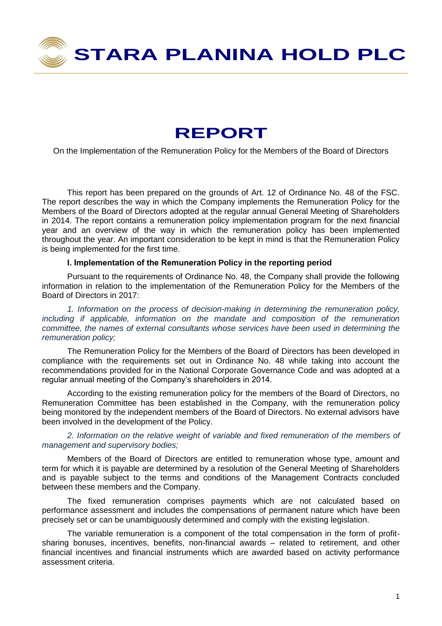

# **REPORT**

On the Implementation of the Remuneration Policy for the Members of the Board of Directors

This report has been prepared on the grounds of Art. 12 of Ordinance No. 48 of the FSC. The report describes the way in which the Company implements the Remuneration Policy for the Members of the Board of Directors adopted at the regular annual General Meeting of Shareholders in 2014. The report contains a remuneration policy implementation program for the next financial year and an overview of the way in which the remuneration policy has been implemented throughout the year. An important consideration to be kept in mind is that the Remuneration Policy is being implemented for the first time.

## **І. Implementation of the Remuneration Policy in the reporting period**

Pursuant to the requirements of Ordinance No. 48, the Company shall provide the following information in relation to the implementation of the Remuneration Policy for the Members of the Board of Directors in 2017:

*1. Information on the process of decision-making in determining the remuneration policy, including if applicable, information on the mandate and composition of the remuneration committee, the names of external consultants whose services have been used in determining the remuneration policy;*

The Remuneration Policy for the Members of the Board of Directors has been developed in compliance with the requirements set out in Ordinance No. 48 while taking into account the recommendations provided for in the National Corporate Governance Code and was adopted at a regular annual meeting of the Company's shareholders in 2014.

According to the existing remuneration policy for the members of the Board of Directors, no Remuneration Committee has been established in the Company, with the remuneration policy being monitored by the independent members of the Board of Directors. No external advisors have been involved in the development of the Policy.

*2. Information on the relative weight of variable and fixed remuneration of the members of management and supervisory bodies;* 

Members of the Board of Directors are entitled to remuneration whose type, amount and term for which it is payable are determined by a resolution of the General Meeting of Shareholders and is payable subject to the terms and conditions of the Management Contracts concluded between these members and the Company.

The fixed remuneration comprises payments which are not calculated based on performance assessment and includes the compensations of permanent nature which have been precisely set or can be unambiguously determined and comply with the existing legislation.

The variable remuneration is a component of the total compensation in the form of profitsharing bonuses, incentives, benefits, non-financial awards – related to retirement, and other financial incentives and financial instruments which are awarded based on activity performance assessment criteria.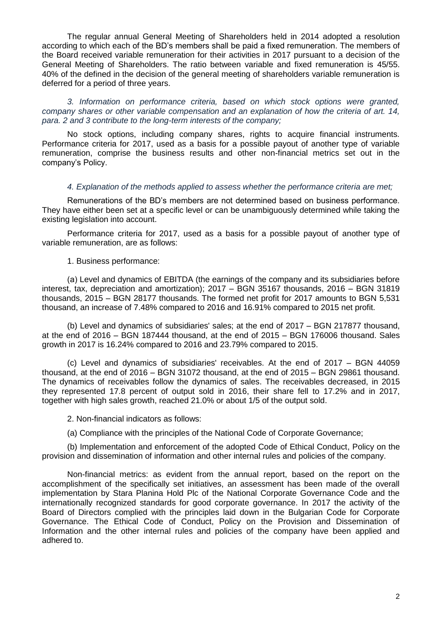The regular annual General Meeting of Shareholders held in 2014 adopted a resolution according to which each of the BD's members shall be paid a fixed remuneration. The members of the Board received variable remuneration for their activities in 2017 pursuant to a decision of the General Meeting of Shareholders. The ratio between variable and fixed remuneration is 45/55. 40% of the defined in the decision of the general meeting of shareholders variable remuneration is deferred for a period of three years.

*3. Information on performance criteria, based on which stock options were granted, company shares or other variable compensation and an explanation of how the criteria of art. 14, para. 2 and 3 contribute to the long-term interests of the company;* 

No stock options, including company shares, rights to acquire financial instruments. Performance criteria for 2017, used as a basis for a possible payout of another type of variable remuneration, comprise the business results and other non-financial metrics set out in the company's Policy.

#### *4. Explanation of the methods applied to assess whether the performance criteria are met;*

Remunerations of the BD's members are not determined based on business performance. They have either been set at a specific level or can be unambiguously determined while taking the existing legislation into account.

Performance criteria for 2017, used as a basis for a possible payout of another type of variable remuneration, are as follows:

#### 1. Business performance:

(а) Level and dynamics of EBITDA (the earnings of the company and its subsidiaries before interest, tax, depreciation and amortization); 2017 – BGN 35167 thousands, 2016 – BGN 31819 thousands, 2015 – BGN 28177 thousands. The formed net profit for 2017 amounts to BGN 5,531 thousand, an increase of 7.48% compared to 2016 and 16.91% compared to 2015 net profit.

(b) Level and dynamics of subsidiaries' sales; at the end of 2017 – BGN 217877 thousand, at the end of 2016 – BGN 187444 thousand, at the end of 2015 – BGN 176006 thousand. Sales growth in 2017 is 16.24% compared to 2016 and 23.79% compared to 2015.

(c) Level and dynamics of subsidiaries' receivables. At the end of 2017 – BGN 44059 thousand, at the end of 2016 – BGN 31072 thousand, at the end of 2015 – BGN 29861 thousand. The dynamics of receivables follow the dynamics of sales. The receivables decreased, in 2015 they represented 17.8 percent of output sold in 2016, their share fell to 17.2% and in 2017, together with high sales growth, reached 21.0% or about 1/5 of the output sold.

2. Non-financial indicators as follows:

(a) Compliance with the principles of the National Code of Corporate Governance;

(b) Implementation and enforcement of the adopted Code of Ethical Conduct, Policy on the provision and dissemination of information and other internal rules and policies of the company.

Non-financial metrics: as evident from the annual report, based on the report on the accomplishment of the specifically set initiatives, an assessment has been made of the overall implementation by Stara Planina Hold Plc of the National Corporate Governance Code and the internationally recognized standards for good corporate governance. In 2017 the activity of the Board of Directors complied with the principles laid down in the Bulgarian Code for Corporate Governance. The Ethical Code of Conduct, Policy on the Provision and Dissemination of Information and the other internal rules and policies of the company have been applied and adhered to.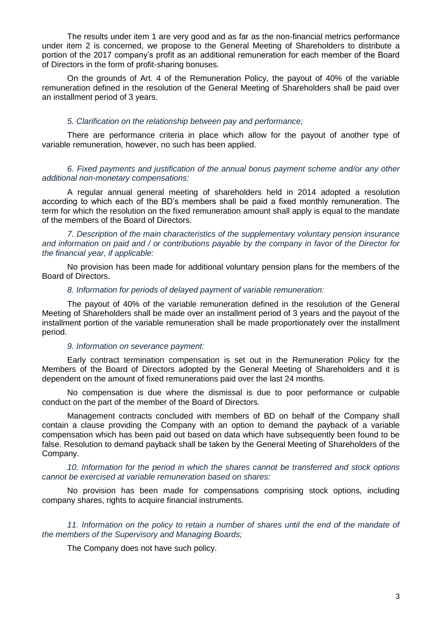The results under item 1 are very good and as far as the non-financial metrics performance under item 2 is concerned, we propose to the General Meeting of Shareholders to distribute a portion of the 2017 company's profit as an additional remuneration for each member of the Board of Directors in the form of profit-sharing bonuses.

On the grounds of Art. 4 of the Remuneration Policy, the payout of 40% of the variable remuneration defined in the resolution of the General Meeting of Shareholders shall be paid over an installment period of 3 years.

#### *5. Clarification on the relationship between pay and performance;*

There are performance criteria in place which allow for the payout of another type of variable remuneration, however, no such has been applied.

*6. Fixed payments and justification of the annual bonus payment scheme and/or any other additional non-monetary compensations:*

A regular annual general meeting of shareholders held in 2014 adopted a resolution according to which each of the BD's members shall be paid a fixed monthly remuneration. The term for which the resolution on the fixed remuneration amount shall apply is equal to the mandate of the members of the Board of Directors.

*7. Description of the main characteristics of the supplementary voluntary pension insurance and information on paid and / or contributions payable by the company in favor of the Director for the financial year, if applicable:*

No provision has been made for additional voluntary pension plans for the members of the Board of Directors.

#### *8. Information for periods of delayed payment of variable remuneration:*

The payout of 40% of the variable remuneration defined in the resolution of the General Meeting of Shareholders shall be made over an installment period of 3 years and the payout of the installment portion of the variable remuneration shall be made proportionately over the installment period.

#### *9. Information on severance payment:*

Early contract termination compensation is set out in the Remuneration Policy for the Members of the Board of Directors adopted by the General Meeting of Shareholders and it is dependent on the amount of fixed remunerations paid over the last 24 months.

No compensation is due where the dismissal is due to poor performance or culpable conduct on the part of the member of the Board of Directors.

Management contracts concluded with members of BD on behalf of the Company shall contain a clause providing the Company with an option to demand the payback of a variable compensation which has been paid out based on data which have subsequently been found to be false. Resolution to demand payback shall be taken by the General Meeting of Shareholders of the Company.

*10. Information for the period in which the shares cannot be transferred and stock options cannot be exercised at variable remuneration based on shares:*

No provision has been made for compensations comprising stock options, including company shares, rights to acquire financial instruments.

*11. Information on the policy to retain a number of shares until the end of the mandate of the members of the Supervisory and Managing Boards;* 

The Company does not have such policy.